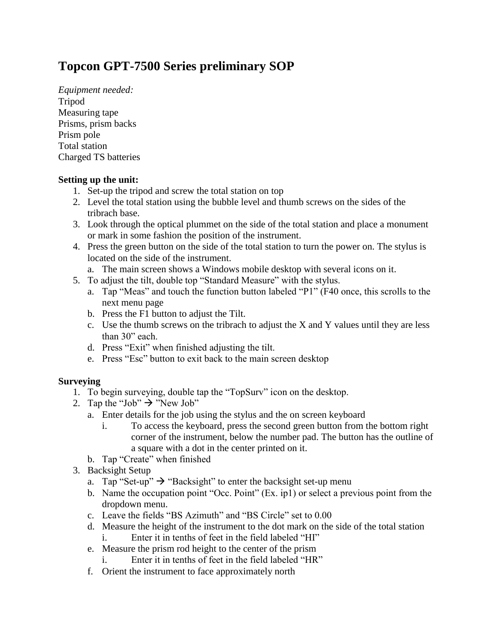## **Topcon GPT-7500 Series preliminary SOP**

*Equipment needed:* Tripod Measuring tape Prisms, prism backs Prism pole Total station Charged TS batteries

## **Setting up the unit:**

- 1. Set-up the tripod and screw the total station on top
- 2. Level the total station using the bubble level and thumb screws on the sides of the tribrach base.
- 3. Look through the optical plummet on the side of the total station and place a monument or mark in some fashion the position of the instrument.
- 4. Press the green button on the side of the total station to turn the power on. The stylus is located on the side of the instrument.
	- a. The main screen shows a Windows mobile desktop with several icons on it.
- 5. To adjust the tilt, double top "Standard Measure" with the stylus.
	- a. Tap "Meas" and touch the function button labeled "P1" (F40 once, this scrolls to the next menu page
	- b. Press the F1 button to adjust the Tilt.
	- c. Use the thumb screws on the tribrach to adjust the X and Y values until they are less than 30" each.
	- d. Press "Exit" when finished adjusting the tilt.
	- e. Press "Esc" button to exit back to the main screen desktop

## **Surveying**

- 1. To begin surveying, double tap the "TopSurv" icon on the desktop.
- 2. Tap the "Job"  $\rightarrow$  "New Job"
	- a. Enter details for the job using the stylus and the on screen keyboard
		- i. To access the keyboard, press the second green button from the bottom right corner of the instrument, below the number pad. The button has the outline of a square with a dot in the center printed on it.
	- b. Tap "Create" when finished
- 3. Backsight Setup
	- a. Tap "Set-up"  $\rightarrow$  "Backsight" to enter the backsight set-up menu
	- b. Name the occupation point "Occ. Point" (Ex. ip1) or select a previous point from the dropdown menu.
	- c. Leave the fields "BS Azimuth" and "BS Circle" set to 0.00
	- d. Measure the height of the instrument to the dot mark on the side of the total station
		- i. Enter it in tenths of feet in the field labeled "HI"
	- e. Measure the prism rod height to the center of the prism
		- i. Enter it in tenths of feet in the field labeled "HR"
	- f. Orient the instrument to face approximately north